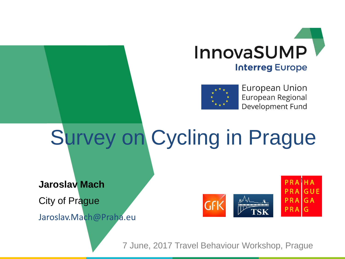



European Union European Regional Development Fund

# Survey on Cycling in Prague

**Jaroslav Mach**

City of Prague

Jaroslav.Mach@Praha.eu



7 June, 2017 Travel Behaviour Workshop, Prague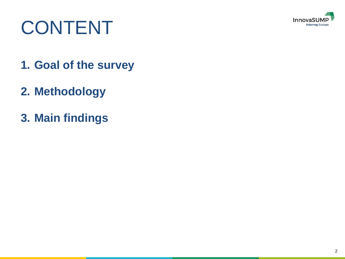

### CONTENT

- **1. Goal of the survey**
- **2. Methodology**
- **3. Main findings**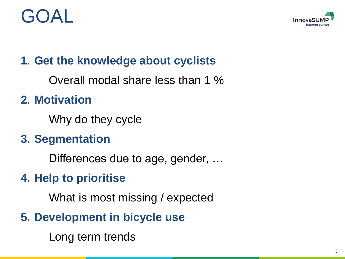#### $A \cap \overline{A}$



#### **1. Get the knowledge about cyclists**

Overall modal share less than 1 %

#### **2. Motivation**

Why do they cycle

#### **3. Segmentation**

Differences due to age, gender, …

#### **4. Help to prioritise**

What is most missing / expected

**5. Development in bicycle use**

Long term trends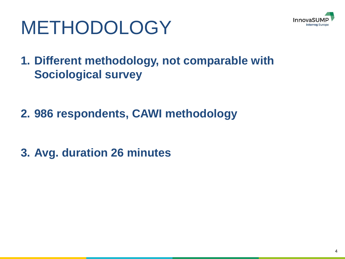

## METHODOLOGY

**1. Different methodology, not comparable with Sociological survey**

- **2. 986 respondents, CAWI methodology**
- **3. Avg. duration 26 minutes**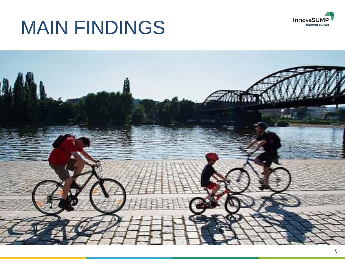

#### MAIN FINDINGS

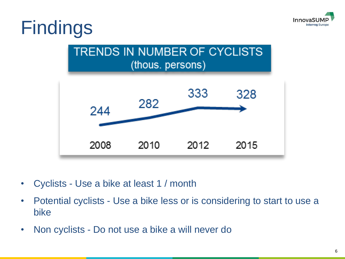

#### Findings



- Cyclists Use a bike at least 1 / month
- Potential cyclists Use a bike less or is considering to start to use a bike
- Non cyclists Do not use a bike a will never do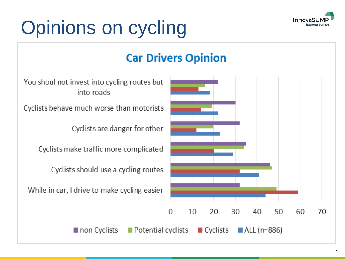

## Opinions on cycling

#### **Car Drivers Opinion**

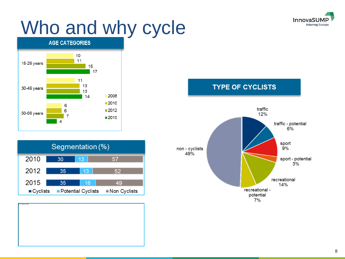

### Who and why cycle









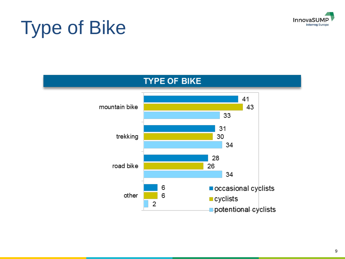

## Type of Bike

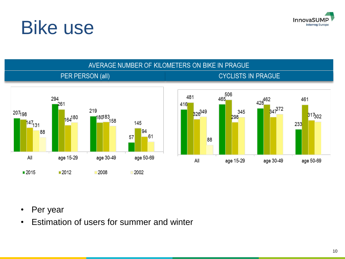

#### Bike use



- Per year
- Estimation of users for summer and winter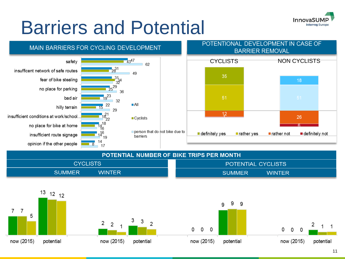

#### Barriers and Potential



| <b>POTENTIAL NUMBER OF BIKE TRIPS PER MONTH</b> |                                |
|-------------------------------------------------|--------------------------------|
| CYCLISTS                                        | POTENTIAL CYCLISTS             |
| <b>WINTER</b><br><b>SUMMER</b>                  | <b>WINTER</b><br><b>SUMMER</b> |







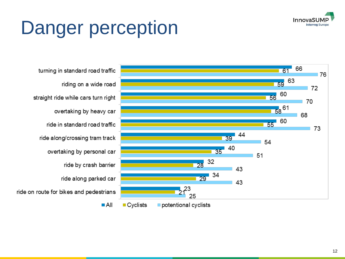

## Danger perception

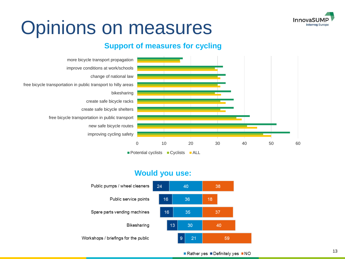

#### Opinions on measures

#### **Support of measures for cycling**



#### **Would you use:**

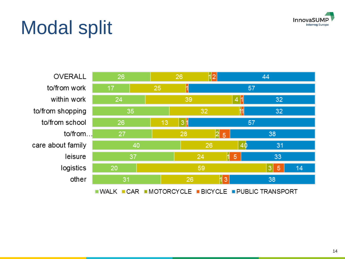

## Modal split

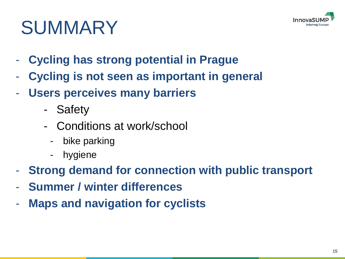

### SUMMARY

- **Cycling has strong potential in Prague**
- **Cycling is not seen as important in general**
- **Users perceives many barriers** 
	- Safety
	- Conditions at work/school
		- bike parking
		- hygiene
- **Strong demand for connection with public transport**
- **Summer / winter differences**
- **Maps and navigation for cyclists**